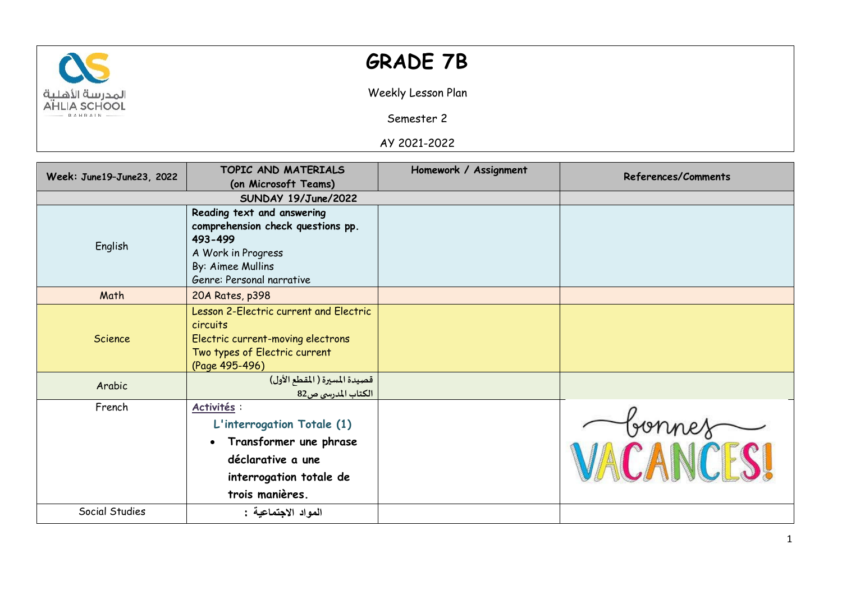

## **GRADE 7B**

Weekly Lesson Plan

Semester 2

AY 2021-2022

| Week: June19-June23, 2022 | TOPIC AND MATERIALS                                                                     | Homework / Assignment | <b>References/Comments</b> |
|---------------------------|-----------------------------------------------------------------------------------------|-----------------------|----------------------------|
|                           | (on Microsoft Teams)                                                                    |                       |                            |
|                           | SUNDAY 19/June/2022                                                                     |                       |                            |
| English                   | Reading text and answering                                                              |                       |                            |
|                           | comprehension check questions pp.<br>493-499                                            |                       |                            |
|                           | A Work in Progress<br>By: Aimee Mullins                                                 |                       |                            |
|                           | Genre: Personal narrative                                                               |                       |                            |
| Math                      | 20A Rates, p398                                                                         |                       |                            |
| Science                   | Lesson 2-Electric current and Electric<br>circuits<br>Electric current-moving electrons |                       |                            |
|                           | Two types of Electric current<br>(Page 495-496)                                         |                       |                            |
| Arabic                    | قصيدة المسيرة ( المقطع الأول)<br>الكتاب المدرسي ص82                                     |                       |                            |
| French                    | Activités :                                                                             |                       |                            |
|                           | L'interrogation Totale (1)                                                              |                       | bonnes                     |
|                           | Transformer une phrase<br>$\bullet$                                                     |                       |                            |
|                           | déclarative a une                                                                       |                       |                            |
|                           | interrogation totale de                                                                 |                       |                            |
|                           | trois manières.                                                                         |                       |                            |
| Social Studies            | المواد الاجتماعية :                                                                     |                       |                            |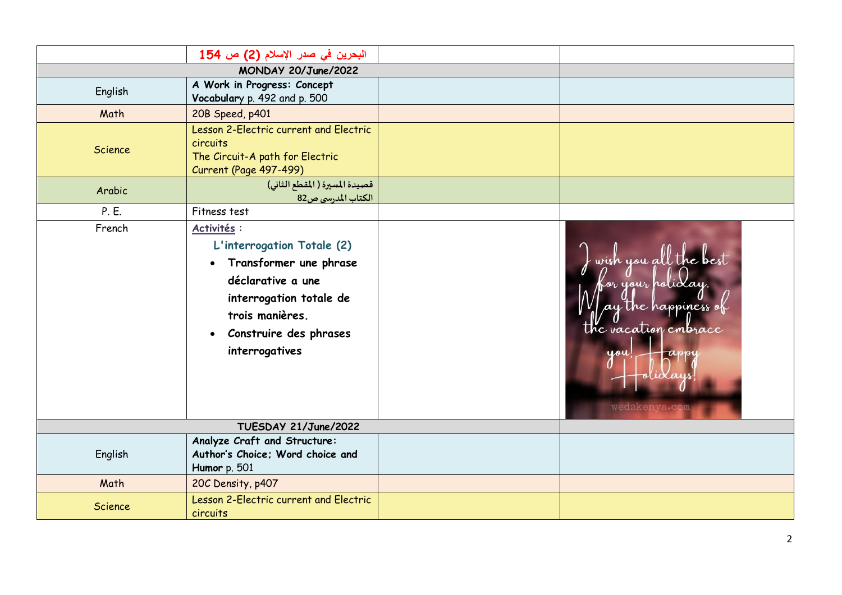|                      | البحرين في صدر الإسلام (2) ص 154                                                                                                                                                                             |  |                                                                                                             |
|----------------------|--------------------------------------------------------------------------------------------------------------------------------------------------------------------------------------------------------------|--|-------------------------------------------------------------------------------------------------------------|
|                      |                                                                                                                                                                                                              |  |                                                                                                             |
| English              | A Work in Progress: Concept<br>Vocabulary p. 492 and p. 500                                                                                                                                                  |  |                                                                                                             |
| Math                 | 20B Speed, p401                                                                                                                                                                                              |  |                                                                                                             |
| Science              | Lesson 2-Electric current and Electric<br>circuits<br>The Circuit-A path for Electric<br>Current (Page 497-499)                                                                                              |  |                                                                                                             |
| Arabic               | قصيدة المسيرة ( المقطع الثاني)<br>الكتاب المدرسي ص82                                                                                                                                                         |  |                                                                                                             |
| P. E.                | Fitness test                                                                                                                                                                                                 |  |                                                                                                             |
| French               | Activités :<br>L'interrogation Totale (2)<br>Transformer une phrase<br>$\bullet$<br>déclarative a une<br>interrogation totale de<br>trois manières.<br>Construire des phrases<br>$\bullet$<br>interrogatives |  | wish you all the best<br>for your holiclay.<br>The happiness<br>the vacation embrace<br>you<br>wedskenva.co |
| TUESDAY 21/June/2022 |                                                                                                                                                                                                              |  |                                                                                                             |
| English              | Analyze Craft and Structure:<br>Author's Choice; Word choice and<br>Humor p. 501                                                                                                                             |  |                                                                                                             |
| Math                 | 20C Density, p407                                                                                                                                                                                            |  |                                                                                                             |
| Science              | Lesson 2-Electric current and Electric<br>circuits                                                                                                                                                           |  |                                                                                                             |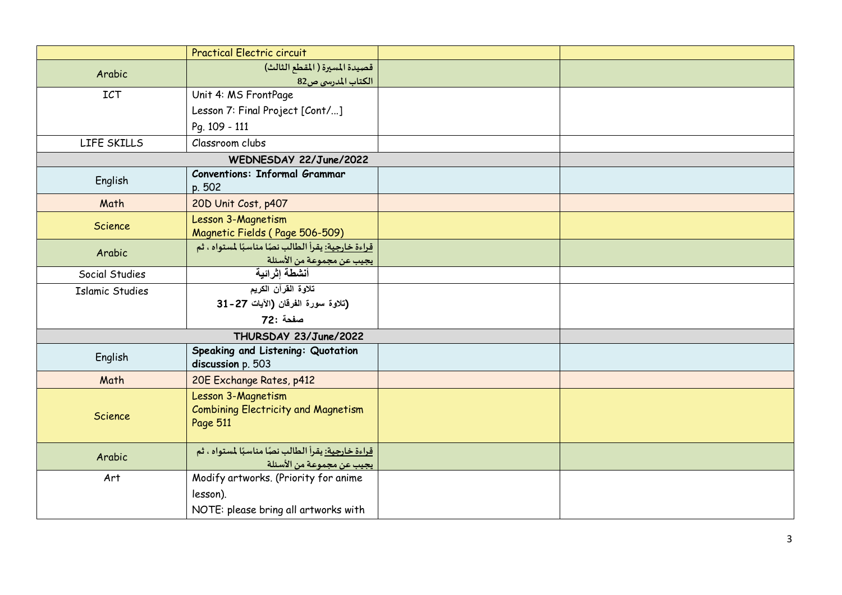|                        | <b>Practical Electric circuit</b>                                                                                  |  |
|------------------------|--------------------------------------------------------------------------------------------------------------------|--|
| Arabic                 | قصيدة المسيرة ( المقطع الثالث)                                                                                     |  |
|                        | الكتاب المدرسي ص82                                                                                                 |  |
| <b>ICT</b>             | Unit 4: MS FrontPage                                                                                               |  |
|                        | Lesson 7: Final Project [Cont/]                                                                                    |  |
|                        | Pg. 109 - 111                                                                                                      |  |
| LIFE SKILLS            | Classroom clubs                                                                                                    |  |
|                        | WEDNESDAY 22/June/2022                                                                                             |  |
| English                | <b>Conventions: Informal Grammar</b><br>p. 502                                                                     |  |
| Math                   | 20D Unit Cost, p407                                                                                                |  |
| Science                | Lesson 3-Magnetism<br>Magnetic Fields (Page 506-509)                                                               |  |
| Arabic                 | قراءة خارجية: يقرأ الطالب نصًا مناسبًا لمستواه ، ثم<br><mark>يجيب عن مجموعة من الأسئلة ___</mark><br>أنشطة إثرائية |  |
| Social Studies         |                                                                                                                    |  |
| <b>Islamic Studies</b> | تلاوة القرآن الكريم                                                                                                |  |
|                        | (تلاوة سورة الفرقان (الآيات 27-31                                                                                  |  |
|                        | صفحة :72                                                                                                           |  |
|                        | THURSDAY 23/June/2022                                                                                              |  |
| English                | Speaking and Listening: Quotation<br>discussion p. 503                                                             |  |
| Math                   | 20E Exchange Rates, p412                                                                                           |  |
| <b>Science</b>         | Lesson 3-Magnetism<br><b>Combining Electricity and Magnetism</b><br>Page 511                                       |  |
| Arabic                 | <u>قراءة خارجية: ي</u> قرأ الطالب نصًا مناسبًا لمستواه ، ثم<br>يجيب عن مجموعة من الأسئلة                           |  |
| Art                    | Modify artworks. (Priority for anime                                                                               |  |
|                        | lesson).                                                                                                           |  |
|                        | NOTE: please bring all artworks with                                                                               |  |